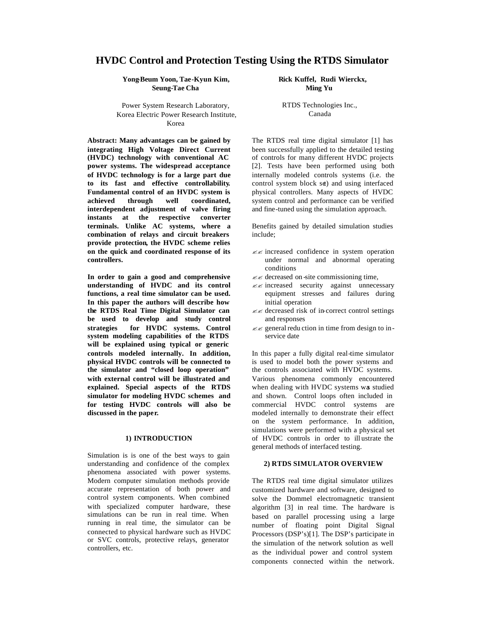# **HVDC Control and Protection Testing Using the RTDS Simulator**

**Yong-Beum Yoon, Tae-Kyun Kim, Seung-Tae Cha** 

Power System Research Laboratory, Korea Electric Power Research Institute, Korea

**Abstract: Many advantages can be gained by integrating High Voltage Direct Current (HVDC) technology with conventional AC power systems. The widespread acceptance of HVDC technology is for a large part due to its fast and effective controllability. Fundamental control of an HVDC system is achieved through well coordinated, interdependent adjustment of valve firing instants at the respective converter terminals. Unlike AC systems, where a combination of relays and circuit breakers provide protection, the HVDC scheme relies on the quick and coordinated response of its controllers.**

**In order to gain a good and comprehensive understanding of HVDC and its control functions, a real time simulator can be used. In this paper the authors will describe how the RTDS Real Time Digital Simulator can be used to develop and study control strategies for HVDC systems. Control system modeling capabilities of the RTDS will be explained using typical or generic controls modeled internally. In addition, physical HVDC controls will be connected to the simulator and "closed loop operation" with external control will be illustrated and explained. Special aspects of the RTDS simulator for modeling HVDC schemes and for testing HVDC controls will also be discussed in the paper.**

## **1) INTRODUCTION**

Simulation is is one of the best ways to gain understanding and confidence of the complex phenomena associated with power systems. Modern computer simulation methods provide accurate representation of both power and control system components. When combined with specialized computer hardware, these simulations can be run in real time. When running in real time, the simulator can be connected to physical hardware such as HVDC or SVC controls, protective relays, generator controllers, etc.

 **Rick Kuffel, Rudi Wierckx, Ming Yu**

RTDS Technologies Inc., Canada

The RTDS real time digital simulator [1] has been successfully applied to the detailed testing of controls for many different HVDC projects [2]. Tests have been performed using both internally modeled controls systems (i.e. the control system block set) and using interfaced physical controllers. Many aspects of HVDC system control and performance can be verified and fine-tuned using the simulation approach.

Benefits gained by detailed simulation studies include;

- $\ll \ll \ll \ll$  increased confidence in system operation under normal and abnormal operating conditions
- $\ll \ll$  decreased on -site commissioning time,
- $\ll \times$  increased security against unnecessary equipment stresses and failures during initial operation
- ?? decreased risk of in-correct control settings and responses
- $\ll$  general reduction in time from design to inservice date

In this paper a fully digital real-time simulator is used to model both the power systems and the controls associated with HVDC systems. Various phenomena commonly encountered when dealing with HVDC systems was studied and shown. Control loops often included in commercial HVDC control systems are modeled internally to demonstrate their effect on the system performance. In addition, simulations were performed with a physical set of HVDC controls in order to ill ustrate the general methods of interfaced testing.

## **2) RTDS SIMULATOR OVERVIEW**

The RTDS real time digital simulator utilizes customized hardware and software, designed to solve the Dommel electromagnetic transient algorithm [3] in real time. The hardware is based on parallel processing using a large number of floating point Digital Signal Processors (DSP's)[1]. The DSP's participate in the simulation of the network solution as well as the individual power and control system components connected within the network.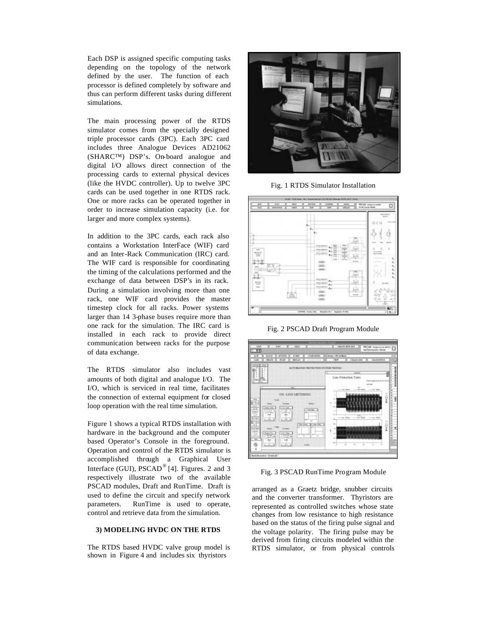Each DSP is assigned specific computing tasks depending on the topology of the network defined by the user. The function of each processor is defined completely by software and thus can perform different tasks during different simulations.

The main processing power of the RTDS simulator comes from the specially designed triple processor cards (3PC). Each 3PC card includes three Analogue Devices AD21062 (SHARC™) DSP's. On-board analogue and digital I/O allows direct connection of the processing cards to external physical devices (like the HVDC controller). Up to twelve 3PC cards can be used together in one RTDS rack. One or more racks can be operated together in order to increase simulation capacity (i.e. for larger and more complex systems).

In addition to the 3PC cards, each rack also contains a Workstation InterFace (WIF) card and an Inter-Rack Communication (IRC) card. The WIF card is responsible for coordinating the timing of the calculations performed and the exchange of data between DSP's in its rack. During a simulation involving more than one rack, one WIF card provides the master timestep clock for all racks. Power systems larger than 14 3-phase buses require more than one rack for the simulation. The IRC card is installed in each rack to provide direct communication between racks for the purpose of data exchange.

The RTDS simulator also includes vast amounts of both digital and analogue I/O. The I/O, which is serviced in real time, facilitates the connection of external equipment for closed loop operation with the real time simulation.

Figure 1 shows a typical RTDS installation with hardware in the background and the computer based Operator's Console in the foreground. Operation and control of the RTDS simulator is accomplished through a Graphical User Interface (GUI),  $PSCAD^{\circledast}$  [4]. Figures. 2 and 3 respectively illustrate two of the available PSCAD modules, Draft and RunTime. Draft is used to define the circuit and specify network parameters. RunTime is used to operate, control and retrieve data from the simulation.

#### **3) MODELING HVDC ON THE RTDS**

The RTDS based HVDC valve group model is shown in Figure 4 and includes six thyristors



Fig. 1 RTDS Simulator Installation



Fig. 2 PSCAD Draft Program Module



Fig. 3 PSCAD RunTime Program Module

arranged as a Graetz bridge, snubber circuits and the converter transformer. Thyristors are represented as controlled switches whose state changes from low resistance to high resistance based on the status of the firing pulse signal and the voltage polarity. The firing pulse may be derived from firing circuits modeled within the RTDS simulator, or from physical controls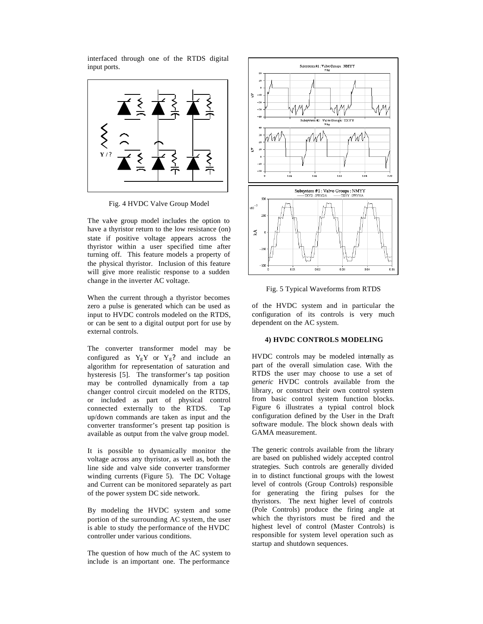interfaced through one of the RTDS digital input ports.



Fig. 4 HVDC Valve Group Model

The valve group model includes the option to have a thyristor return to the low resistance (on) state if positive voltage appears across the thyristor within a user specified time after turning off. This feature models a property of the physical thyristor. Inclusion of this feature will give more realistic response to a sudden change in the inverter AC voltage.

When the current through a thyristor becomes zero a pulse is generated which can be used as input to HVDC controls modeled on the RTDS, or can be sent to a digital output port for use by external controls.

The converter transformer model may be configured as  $Y_gY$  or  $Y_g?$  and include an algorithm for representation of saturation and hysteresis [5]. The transformer's tap position may be controlled dynamically from a tap changer control circuit modeled on the RTDS, or included as part of physical control connected externally to the RTDS. Tap up/down commands are taken as input and the converter transformer's present tap position is available as output from the valve group model.

It is possible to dynamically monitor the voltage across any thyristor, as well as, both the line side and valve side converter transformer winding currents (Figure 5). The DC Voltage and Current can be monitored separately as part of the power system DC side network.

By modeling the HVDC system and some portion of the surrounding AC system, the user is able to study the performance of the HVDC controller under various conditions.

The question of how much of the AC system to include is an important one. The performance



Fig. 5 Typical Waveforms from RTDS

of the HVDC system and in particular the configuration of its controls is very much dependent on the AC system.

# **4) HVDC CONTROLS MODELING**

HVDC controls may be modeled internally as part of the overall simulation case. With the RTDS the user may choose to use a set of *generic* HVDC controls available from the library, or construct their own control system from basic control system function blocks. Figure 6 illustrates a typical control block configuration defined by the User in the Draft software module. The block shown deals with GAMA measurement.

The generic controls available from the library are based on published widely accepted control strategies. Such controls are generally divided in to distinct functional groups with the lowest level of controls (Group Controls) responsible for generating the firing pulses for the thyristors. The next higher level of controls (Pole Controls) produce the firing angle at which the thyristors must be fired and the highest level of control (Master Controls) is responsible for system level operation such as startup and shutdown sequences.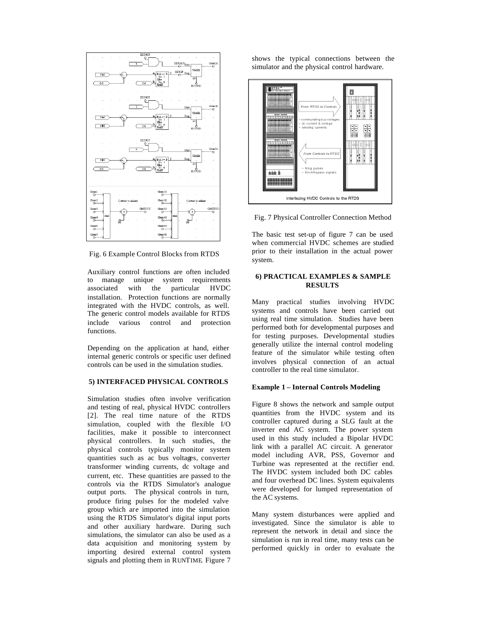

Fig. 6 Example Control Blocks from RTDS

Auxiliary control functions are often included to manage unique system requirements associated with the particular HVDC installation. Protection functions are normally integrated with the HVDC controls, as well. The generic control models available for RTDS include various control and protection functions.

Depending on the application at hand, either internal generic controls or specific user defined controls can be used in the simulation studies.

## **5) INTERFACED PHYSICAL CONTROLS**

Simulation studies often involve verification and testing of real, physical HVDC controllers [2]. The real time nature of the RTDS simulation, coupled with the flexible I/O facilities, make it possible to interconnect physical controllers. In such studies, the physical controls typically monitor system quantities such as ac bus voltages, converter transformer winding currents, dc voltage and current, etc. These quantities are passed to the controls via the RTDS Simulator's analogue output ports. The physical controls in turn, produce firing pulses for the modeled valve group which are imported into the simulation using the RTDS Simulator's digital input ports and other auxiliary hardware. During such simulations, the simulator can also be used as a data acquisition and monitoring system by importing desired external control system signals and plotting them in RUNTIME. Figure 7

shows the typical connections between the simulator and the physical control hardware.



Fig. 7 Physical Controller Connection Method

The basic test set-up of figure 7 can be used when commercial HVDC schemes are studied prior to their installation in the actual power system.

## **6) PRACTICAL EXAMPLES & SAMPLE RESULTS**

Many practical studies involving HVDC systems and controls have been carried out using real time simulation. Studies have been performed both for developmental purposes and for testing purposes. Developmental studies generally utilize the internal control modeling feature of the simulator while testing often involves physical connection of an actual controller to the real time simulator.

### **Example 1 – Internal Controls Modeling**

Figure 8 shows the network and sample output quantities from the HVDC system and its controller captured during a SLG fault at the inverter end AC system. The power system used in this study included a Bipolar HVDC link with a parallel AC circuit. A generator model including AVR, PSS, Governor and Turbine was represented at the rectifier end. The HVDC system included both DC cables and four overhead DC lines. System equivalents were developed for lumped representation of the AC systems.

Many system disturbances were applied and investigated. Since the simulator is able to represent the network in detail and since the simulation is run in real time, many tests can be performed quickly in order to evaluate the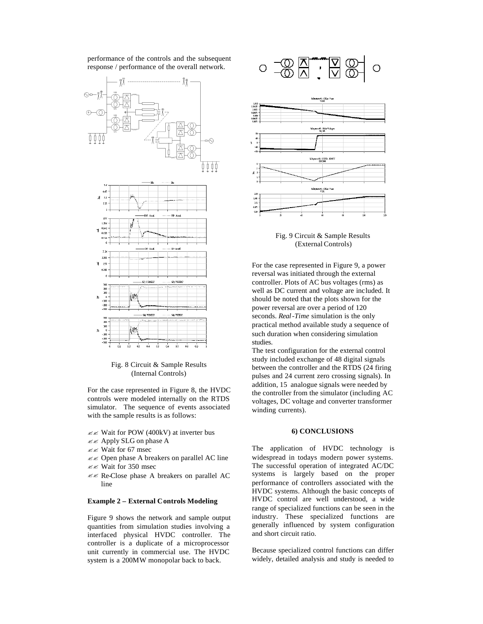performance of the controls and the subsequent response / performance of the overall network.



Fig. 8 Circuit & Sample Results (Internal Controls)

For the case represented in Figure 8, the HVDC controls were modeled internally on the RTDS simulator. The sequence of events associated with the sample results is as follows:

- $\mathscr{B} \mathscr{B}$  Wait for POW (400kV) at inverter bus
- $\ll$  Apply SLG on phase A
- $\ll \ll$  Wait for 67 msec
- $\ll$  Open phase A breakers on parallel AC line
- $\ll \ll$  Wait for 350 msec
- $\mathbb{Z} \mathbb{Z}$  Re-Close phase A breakers on parallel AC line

#### **Example 2 – External Controls Modeling**

Figure 9 shows the network and sample output quantities from simulation studies involving a interfaced physical HVDC controller. The controller is a duplicate of a microprocessor unit currently in commercial use. The HVDC system is a 200MW monopolar back to back.





Fig. 9 Circuit & Sample Results (External Controls)

For the case represented in Figure 9, a power reversal was initiated through the external controller. Plots of AC bus voltages (rms) as well as DC current and voltage are included. It should be noted that the plots shown for the power reversal are over a period of 120 seconds. *Real-Time* simulation is the only practical method available study a sequence of such duration when considering simulation studies.

The test configuration for the external control study included exchange of 48 digital signals between the controller and the RTDS (24 firing pulses and 24 current zero crossing signals). In addition, 15 analogue signals were needed by the controller from the simulator (including AC voltages, DC voltage and converter transformer winding currents).

#### **6) CONCLUSIONS**

The application of HVDC technology is widespread in todays modern power systems. The successful operation of integrated AC/DC systems is largely based on the proper performance of controllers associated with the HVDC systems. Although the basic concepts of HVDC control are well understood, a wide range of specialized functions can be seen in the industry. These specialized functions are generally influenced by system configuration and short circuit ratio.

Because specialized control functions can differ widely, detailed analysis and study is needed to